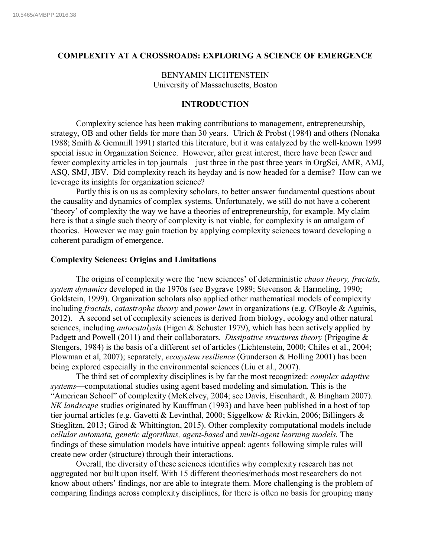## **COMPLEXITY AT A CROSSROADS: EXPLORING A SCIENCE OF EMERGENCE**

BENYAMIN LICHTENSTEIN University of Massachusetts, Boston

# **INTRODUCTION**

Complexity science has been making contributions to management, entrepreneurship, strategy, OB and other fields for more than 30 years. Ulrich & Probst (1984) and others (Nonaka 1988; Smith & Gemmill 1991) started this literature, but it was catalyzed by the well-known 1999 special issue in Organization Science. However, after great interest, there have been fewer and fewer complexity articles in top journals—just three in the past three years in OrgSci, AMR, AMJ, ASQ, SMJ, JBV. Did complexity reach its heyday and is now headed for a demise? How can we leverage its insights for organization science?

Partly this is on us as complexity scholars, to better answer fundamental questions about the causality and dynamics of complex systems. Unfortunately, we still do not have a coherent 'theory' of complexity the way we have a theories of entrepreneurship, for example. My claim here is that a single such theory of complexity is not viable, for complexity is an amalgam of theories. However we may gain traction by applying complexity sciences toward developing a coherent paradigm of emergence.

## **Complexity Sciences: Origins and Limitations**

The origins of complexity were the 'new sciences' of deterministic *chaos theory, fractals*, *system dynamics* developed in the 1970s (see Bygrave 1989; Stevenson & Harmeling, 1990; Goldstein, 1999). Organization scholars also applied other mathematical models of complexity including *fractals*, *catastrophe theory* and *power laws* in organizations (e.g. O'Boyle & Aguinis, 2012). A second set of complexity sciences is derived from biology, ecology and other natural sciences, including *autocatalysis* (Eigen & Schuster 1979), which has been actively applied by Padgett and Powell (2011) and their collaborators. *Dissipative structures theory* (Prigogine & Stengers, 1984) is the basis of a different set of articles (Lichtenstein, 2000; Chiles et al., 2004; Plowman et al, 2007); separately, *ecosystem resilience* (Gunderson & Holling 2001) has been being explored especially in the environmental sciences (Liu et al., 2007).

The third set of complexity disciplines is by far the most recognized: *complex adaptive systems*—computational studies using agent based modeling and simulation. This is the "American School" of complexity (McKelvey, 2004; see Davis, Eisenhardt, & Bingham 2007). *NK landscape* studies originated by Kauffman (1993) and have been published in a host of top tier journal articles (e.g. Gavetti & Levinthal, 2000; Siggelkow & Rivkin, 2006; Billingers & Stieglitzn, 2013; Girod & Whittington, 2015). Other complexity computational models include *cellular automata, genetic algorithms, agent-based* and *multi-agent learning models.* The findings of these simulation models have intuitive appeal: agents following simple rules will create new order (structure) through their interactions.

Overall, the diversity of these sciences identifies why complexity research has not aggregated nor built upon itself. With 15 different theories/methods most researchers do not know about others' findings, nor are able to integrate them. More challenging is the problem of comparing findings across complexity disciplines, for there is often no basis for grouping many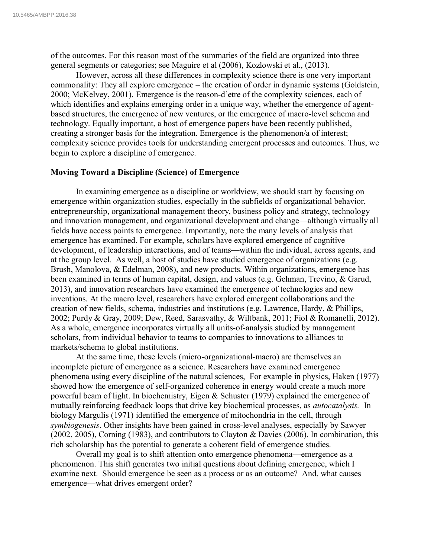of the outcomes. For this reason most of the summaries of the field are organized into three general segments or categories; see Maguire et al (2006), Kozlowski et al., (2013).

However, across all these differences in complexity science there is one very important commonality: They all explore emergence *–* the creation of order in dynamic systems (Goldstein, 2000; McKelvey, 2001). Emergence is the reason-d'etre of the complexity sciences, each of which identifies and explains emerging order in a unique way, whether the emergence of agentbased structures, the emergence of new ventures, or the emergence of macro-level schema and technology. Equally important, a host of emergence papers have been recently published, creating a stronger basis for the integration. Emergence is the phenomenon/a of interest; complexity science provides tools for understanding emergent processes and outcomes. Thus, we begin to explore a discipline of emergence.

### **Moving Toward a Discipline (Science) of Emergence**

In examining emergence as a discipline or worldview, we should start by focusing on emergence within organization studies, especially in the subfields of organizational behavior, entrepreneurship, organizational management theory, business policy and strategy, technology and innovation management, and organizational development and change—although virtually all fields have access points to emergence. Importantly, note the many levels of analysis that emergence has examined. For example, scholars have explored emergence of cognitive development, of leadership interactions, and of teams—within the individual, across agents, and at the group level. As well, a host of studies have studied emergence of organizations (e.g. Brush, Manolova, & Edelman, 2008), and new products. Within organizations, emergence has been examined in terms of human capital, design, and values (e.g. Gehman, Trevino, & Garud, 2013), and innovation researchers have examined the emergence of technologies and new inventions. At the macro level, researchers have explored emergent collaborations and the creation of new fields, schema, industries and institutions (e.g. Lawrence, Hardy, & Phillips, 2002; Purdy & Gray, 2009; Dew, Reed, Sarasvathy, & Wiltbank, 2011; Fiol & Romanelli, 2012). As a whole, emergence incorporates virtually all units-of-analysis studied by management scholars, from individual behavior to teams to companies to innovations to alliances to markets/schema to global institutions.

At the same time, these levels (micro-organizational-macro) are themselves an incomplete picture of emergence as a science. Researchers have examined emergence phenomena using every discipline of the natural sciences, For example in physics, Haken (1977) showed how the emergence of self-organized coherence in energy would create a much more powerful beam of light. In biochemistry, Eigen & Schuster (1979) explained the emergence of mutually reinforcing feedback loops that drive key biochemical processes, as *autocatalysis.* In biology Margulis (1971) identified the emergence of mitochondria in the cell, through *symbiogenesis*. Other insights have been gained in cross-level analyses, especially by Sawyer (2002, 2005), Corning (1983), and contributors to Clayton & Davies (2006). In combination, this rich scholarship has the potential to generate a coherent field of emergence studies.

Overall my goal is to shift attention onto emergence phenomena—emergence as a phenomenon. This shift generates two initial questions about defining emergence, which I examine next. Should emergence be seen as a process or as an outcome? And, what causes emergence—what drives emergent order?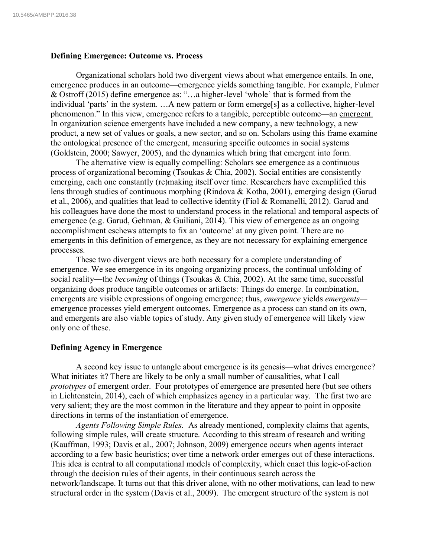### **Defining Emergence: Outcome vs. Process**

Organizational scholars hold two divergent views about what emergence entails. In one, emergence produces in an outcome—emergence yields something tangible. For example, Fulmer & Ostroff (2015) define emergence as: "…a higher-level 'whole' that is formed from the individual 'parts' in the system. …A new pattern or form emerge[s] as a collective, higher-level phenomenon." In this view, emergence refers to a tangible, perceptible outcome—an emergent. In organization science emergents have included a new company, a new technology, a new product, a new set of values or goals, a new sector, and so on. Scholars using this frame examine the ontological presence of the emergent, measuring specific outcomes in social systems (Goldstein, 2000; Sawyer, 2005), and the dynamics which bring that emergent into form.

The alternative view is equally compelling: Scholars see emergence as a continuous process of organizational becoming (Tsoukas & Chia, 2002). Social entities are consistently emerging, each one constantly (re)making itself over time. Researchers have exemplified this lens through studies of continuous morphing (Rindova & Kotha, 2001), emerging design (Garud et al., 2006), and qualities that lead to collective identity (Fiol & Romanelli, 2012). Garud and his colleagues have done the most to understand process in the relational and temporal aspects of emergence (e.g. Garud, Gehman, & Guiliani, 2014). This view of emergence as an ongoing accomplishment eschews attempts to fix an 'outcome' at any given point. There are no emergents in this definition of emergence, as they are not necessary for explaining emergence processes.

These two divergent views are both necessary for a complete understanding of emergence. We see emergence in its ongoing organizing process, the continual unfolding of social reality—the *becoming* of things (Tsoukas & Chia, 2002). At the same time, successful organizing does produce tangible outcomes or artifacts: Things do emerge. In combination, emergents are visible expressions of ongoing emergence; thus, *emergence* yields *emergents* emergence processes yield emergent outcomes. Emergence as a process can stand on its own, and emergents are also viable topics of study. Any given study of emergence will likely view only one of these.

#### **Defining Agency in Emergence**

A second key issue to untangle about emergence is its genesis—what drives emergence? What initiates it? There are likely to be only a small number of causalities, what I call *prototypes* of emergent order. Four prototypes of emergence are presented here (but see others in Lichtenstein, 2014), each of which emphasizes agency in a particular way. The first two are very salient; they are the most common in the literature and they appear to point in opposite directions in terms of the instantiation of emergence.

*Agents Following Simple Rules.* As already mentioned, complexity claims that agents, following simple rules, will create structure. According to this stream of research and writing (Kauffman, 1993; Davis et al., 2007; Johnson, 2009) emergence occurs when agents interact according to a few basic heuristics; over time a network order emerges out of these interactions. This idea is central to all computational models of complexity, which enact this logic-of-action through the decision rules of their agents, in their continuous search across the network/landscape. It turns out that this driver alone, with no other motivations, can lead to new structural order in the system (Davis et al., 2009). The emergent structure of the system is not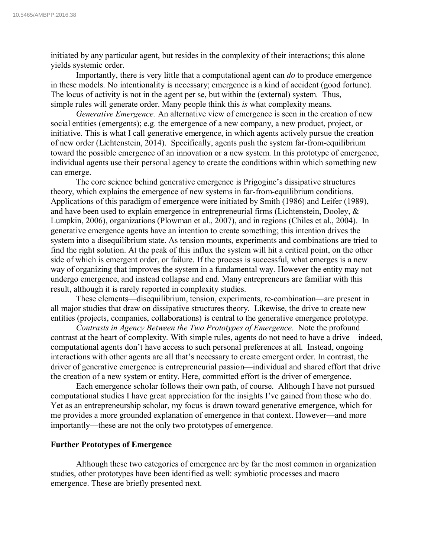initiated by any particular agent, but resides in the complexity of their interactions; this alone yields systemic order.

Importantly, there is very little that a computational agent can *do* to produce emergence in these models. No intentionality is necessary; emergence is a kind of accident (good fortune). The locus of activity is not in the agent per se, but within the (external) system. Thus, simple rules will generate order. Many people think this *is* what complexity means.

*Generative Emergence.* An alternative view of emergence is seen in the creation of new social entities (emergents); e.g. the emergence of a new company, a new product, project, or initiative. This is what I call generative emergence, in which agents actively pursue the creation of new order (Lichtenstein, 2014). Specifically, agents push the system far-from-equilibrium toward the possible emergence of an innovation or a new system. In this prototype of emergence, individual agents use their personal agency to create the conditions within which something new can emerge.

The core science behind generative emergence is Prigogine's dissipative structures theory, which explains the emergence of new systems in far-from-equilibrium conditions. Applications of this paradigm of emergence were initiated by Smith (1986) and Leifer (1989), and have been used to explain emergence in entrepreneurial firms (Lichtenstein, Dooley, & Lumpkin, 2006), organizations (Plowman et al., 2007), and in regions (Chiles et al., 2004). In generative emergence agents have an intention to create something; this intention drives the system into a disequilibrium state. As tension mounts, experiments and combinations are tried to find the right solution. At the peak of this influx the system will hit a critical point, on the other side of which is emergent order, or failure. If the process is successful, what emerges is a new way of organizing that improves the system in a fundamental way. However the entity may not undergo emergence, and instead collapse and end. Many entrepreneurs are familiar with this result, although it is rarely reported in complexity studies.

These elements—disequilibrium, tension, experiments, re-combination—are present in all major studies that draw on dissipative structures theory. Likewise, the drive to create new entities (projects, companies, collaborations) is central to the generative emergence prototype.

*Contrasts in Agency Between the Two Prototypes of Emergence.* Note the profound contrast at the heart of complexity. With simple rules, agents do not need to have a drive—indeed, computational agents don't have access to such personal preferences at all. Instead, ongoing interactions with other agents are all that's necessary to create emergent order. In contrast, the driver of generative emergence is entrepreneurial passion—individual and shared effort that drive the creation of a new system or entity. Here, committed effort is the driver of emergence.

Each emergence scholar follows their own path, of course. Although I have not pursued computational studies I have great appreciation for the insights I've gained from those who do. Yet as an entrepreneurship scholar, my focus is drawn toward generative emergence, which for me provides a more grounded explanation of emergence in that context. However—and more importantly—these are not the only two prototypes of emergence.

### **Further Prototypes of Emergence**

Although these two categories of emergence are by far the most common in organization studies, other prototypes have been identified as well: symbiotic processes and macro emergence. These are briefly presented next.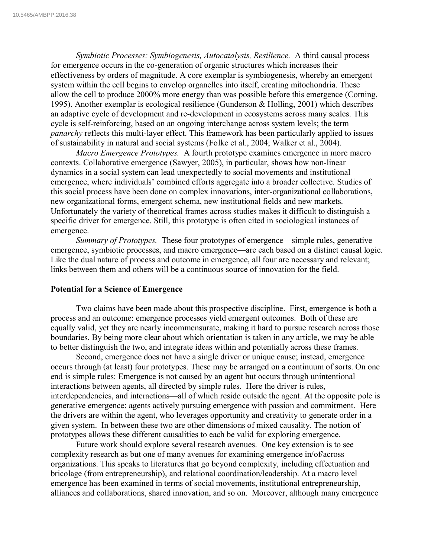*Symbiotic Processes: Symbiogenesis, Autocatalysis, Resilience.* A third causal process for emergence occurs in the co-generation of organic structures which increases their effectiveness by orders of magnitude. A core exemplar is symbiogenesis, whereby an emergent system within the cell begins to envelop organelles into itself, creating mitochondria. These allow the cell to produce 2000% more energy than was possible before this emergence (Corning, 1995). Another exemplar is ecological resilience (Gunderson & Holling, 2001) which describes an adaptive cycle of development and re-development in ecosystems across many scales. This cycle is self-reinforcing, based on an ongoing interchange across system levels; the term *panarchy* reflects this multi-layer effect. This framework has been particularly applied to issues of sustainability in natural and social systems (Folke et al., 2004; Walker et al., 2004).

*Macro Emergence Prototypes.* A fourth prototype examines emergence in more macro contexts. Collaborative emergence (Sawyer, 2005), in particular, shows how non-linear dynamics in a social system can lead unexpectedly to social movements and institutional emergence, where individuals' combined efforts aggregate into a broader collective. Studies of this social process have been done on complex innovations, inter-organizational collaborations, new organizational forms, emergent schema, new institutional fields and new markets. Unfortunately the variety of theoretical frames across studies makes it difficult to distinguish a specific driver for emergence. Still, this prototype is often cited in sociological instances of emergence.

*Summary of Prototypes.* These four prototypes of emergence—simple rules, generative emergence, symbiotic processes, and macro emergence—are each based on a distinct causal logic. Like the dual nature of process and outcome in emergence, all four are necessary and relevant; links between them and others will be a continuous source of innovation for the field.

#### **Potential for a Science of Emergence**

Two claims have been made about this prospective discipline. First, emergence is both a process and an outcome: emergence processes yield emergent outcomes. Both of these are equally valid, yet they are nearly incommensurate, making it hard to pursue research across those boundaries. By being more clear about which orientation is taken in any article, we may be able to better distinguish the two, and integrate ideas within and potentially across these frames.

Second, emergence does not have a single driver or unique cause; instead, emergence occurs through (at least) four prototypes. These may be arranged on a continuum of sorts. On one end is simple rules: Emergence is not caused by an agent but occurs through unintentional interactions between agents, all directed by simple rules. Here the driver is rules, interdependencies, and interactions—all of which reside outside the agent. At the opposite pole is generative emergence: agents actively pursuing emergence with passion and commitment. Here the drivers are within the agent, who leverages opportunity and creativity to generate order in a given system. In between these two are other dimensions of mixed causality. The notion of prototypes allows these different causalities to each be valid for exploring emergence.

Future work should explore several research avenues. One key extension is to see complexity research as but one of many avenues for examining emergence in/of/across organizations. This speaks to literatures that go beyond complexity, including effectuation and bricolage (from entrepreneurship), and relational coordination/leadership. At a macro level emergence has been examined in terms of social movements, institutional entrepreneurship, alliances and collaborations, shared innovation, and so on. Moreover, although many emergence